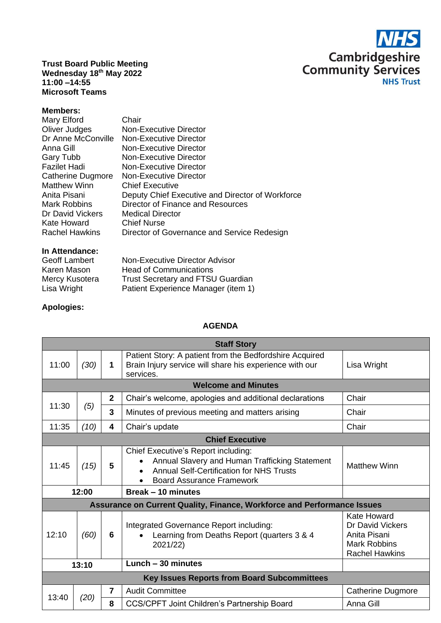

**Trust Board Public Meeting Wednesday 18 th May 2022 11:00 –14:55 Microsoft Teams**

## **Members:**

| Mary Elford           | Chair                                            |
|-----------------------|--------------------------------------------------|
| Oliver Judges         | Non-Executive Director                           |
| Dr Anne McConville    | Non-Executive Director                           |
| Anna Gill             | Non-Executive Director                           |
| Gary Tubb             | <b>Non-Executive Director</b>                    |
| <b>Fazilet Hadi</b>   | Non-Executive Director                           |
| Catherine Dugmore     | Non-Executive Director                           |
| <b>Matthew Winn</b>   | <b>Chief Executive</b>                           |
| Anita Pisani          | Deputy Chief Executive and Director of Workforce |
| <b>Mark Robbins</b>   | Director of Finance and Resources                |
| Dr David Vickers      | <b>Medical Director</b>                          |
| Kate Howard           | <b>Chief Nurse</b>                               |
| <b>Rachel Hawkins</b> | Director of Governance and Service Redesign      |

## **In Attendance:**

| <b>Geoff Lambert</b> | Non-Executive Director Advisor           |
|----------------------|------------------------------------------|
| Karen Mason          | <b>Head of Communications</b>            |
| Mercy Kusotera       | <b>Trust Secretary and FTSU Guardian</b> |
| Lisa Wright          | Patient Experience Manager (item 1)      |

## **Apologies:**

## **AGENDA**

| <b>Staff Story</b>                                 |                            |                         |                                                                                                                                                                              |                                                                                                        |  |  |
|----------------------------------------------------|----------------------------|-------------------------|------------------------------------------------------------------------------------------------------------------------------------------------------------------------------|--------------------------------------------------------------------------------------------------------|--|--|
| 11:00                                              | (30)                       | 1                       | Patient Story: A patient from the Bedfordshire Acquired<br>Brain Injury service will share his experience with our<br>services.                                              | Lisa Wright                                                                                            |  |  |
|                                                    | <b>Welcome and Minutes</b> |                         |                                                                                                                                                                              |                                                                                                        |  |  |
| 11:30                                              |                            | $\mathbf{2}$            | Chair's welcome, apologies and additional declarations                                                                                                                       | Chair                                                                                                  |  |  |
|                                                    | (5)                        | $\overline{3}$          | Minutes of previous meeting and matters arising                                                                                                                              | Chair                                                                                                  |  |  |
| 11:35                                              | (10)                       | $\overline{\mathbf{4}}$ | Chair's update                                                                                                                                                               | Chair                                                                                                  |  |  |
| <b>Chief Executive</b>                             |                            |                         |                                                                                                                                                                              |                                                                                                        |  |  |
| 11:45                                              | (15)                       | 5                       | Chief Executive's Report including:<br>Annual Slavery and Human Trafficking Statement<br><b>Annual Self-Certification for NHS Trusts</b><br><b>Board Assurance Framework</b> | <b>Matthew Winn</b>                                                                                    |  |  |
| 12:00                                              |                            |                         | Break - 10 minutes                                                                                                                                                           |                                                                                                        |  |  |
|                                                    |                            |                         | Assurance on Current Quality, Finance, Workforce and Performance Issues                                                                                                      |                                                                                                        |  |  |
| 12:10                                              | (60)                       | 6                       | Integrated Governance Report including:<br>Learning from Deaths Report (quarters 3 & 4<br>2021/22)                                                                           | Kate Howard<br><b>Dr David Vickers</b><br>Anita Pisani<br><b>Mark Robbins</b><br><b>Rachel Hawkins</b> |  |  |
| 13:10                                              |                            |                         | Lunch - 30 minutes                                                                                                                                                           |                                                                                                        |  |  |
| <b>Key Issues Reports from Board Subcommittees</b> |                            |                         |                                                                                                                                                                              |                                                                                                        |  |  |
| 13:40                                              | (20)                       | $\overline{7}$          | <b>Audit Committee</b>                                                                                                                                                       | <b>Catherine Dugmore</b>                                                                               |  |  |
|                                                    |                            | 8                       | <b>CCS/CPFT Joint Children's Partnership Board</b>                                                                                                                           | Anna Gill                                                                                              |  |  |